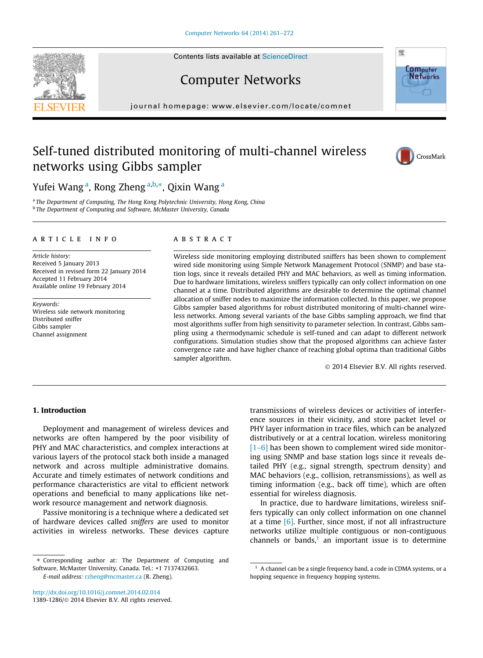Contents lists available at [ScienceDirect](http://www.sciencedirect.com/science/journal/13891286)





## Computer Networks

journal homepage: [www.elsevier.com/locate/comnet](http://www.elsevier.com/locate/comnet)

## Self-tuned distributed monitoring of multi-channel wireless networks using Gibbs sampler



Yufei Wang <sup>a</sup>, Rong Zheng <sup>a,b,</sup>\*, Qixin Wang <sup>a</sup>

<sup>a</sup> The Department of Computing, The Hong Kong Polytechnic University, Hong Kong, China **b** The Department of Computing and Software, McMaster University, Canada

#### article info

Article history: Received 5 January 2013 Received in revised form 22 January 2014 Accepted 11 February 2014 Available online 19 February 2014

Keywords: Wireless side network monitoring Distributed sniffer Gibbs sampler Channel assignment

#### **ABSTRACT**

Wireless side monitoring employing distributed sniffers has been shown to complement wired side monitoring using Simple Network Management Protocol (SNMP) and base station logs, since it reveals detailed PHY and MAC behaviors, as well as timing information. Due to hardware limitations, wireless sniffers typically can only collect information on one channel at a time. Distributed algorithms are desirable to determine the optimal channel allocation of sniffer nodes to maximize the information collected. In this paper, we propose Gibbs sampler based algorithms for robust distributed monitoring of multi-channel wireless networks. Among several variants of the base Gibbs sampling approach, we find that most algorithms suffer from high sensitivity to parameter selection. In contrast, Gibbs sampling using a thermodynamic schedule is self-tuned and can adapt to different network configurations. Simulation studies show that the proposed algorithms can achieve faster convergence rate and have higher chance of reaching global optima than traditional Gibbs sampler algorithm.

© 2014 Elsevier B.V. All rights reserved.

### 1. Introduction

Deployment and management of wireless devices and networks are often hampered by the poor visibility of PHY and MAC characteristics, and complex interactions at various layers of the protocol stack both inside a managed network and across multiple administrative domains. Accurate and timely estimates of network conditions and performance characteristics are vital to efficient network operations and beneficial to many applications like network resource management and network diagnosis.

Passive monitoring is a technique where a dedicated set of hardware devices called sniffers are used to monitor activities in wireless networks. These devices capture

⇑ Corresponding author at: The Department of Computing and Software, McMaster University, Canada. Tel.: +1 7137432663. E-mail address: [rzheng@mcmaster.ca](mailto:rzheng@mcmaster.ca) (R. Zheng).

<http://dx.doi.org/10.1016/j.comnet.2014.02.014>

1389-1286/© 2014 Elsevier B.V. All rights reserved.

transmissions of wireless devices or activities of interference sources in their vicinity, and store packet level or PHY layer information in trace files, which can be analyzed distributively or at a central location. wireless monitoring  $[1-6]$  has been shown to complement wired side monitoring using SNMP and base station logs since it reveals detailed PHY (e.g., signal strength, spectrum density) and MAC behaviors (e.g., collision, retransmissions), as well as timing information (e.g., back off time), which are often essential for wireless diagnosis.

In practice, due to hardware limitations, wireless sniffers typically can only collect information on one channel at a time  $[6]$ . Further, since most, if not all infrastructure networks utilize multiple contiguous or non-contiguous channels or bands, $<sup>1</sup>$  an important issue is to determine</sup>

 $1$  A channel can be a single frequency band, a code in CDMA systems, or a hopping sequence in frequency hopping systems.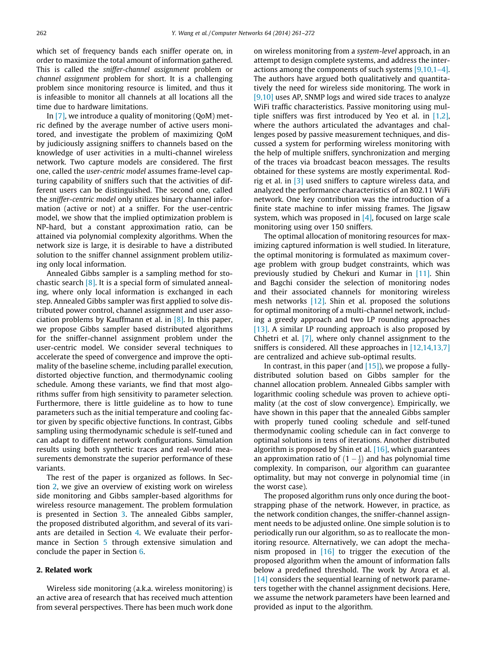In [\[7\]](#page--1-0), we introduce a quality of monitoring (QoM) metric defined by the average number of active users monitored, and investigate the problem of maximizing QoM by judiciously assigning sniffers to channels based on the knowledge of user activities in a multi-channel wireless network. Two capture models are considered. The first one, called the user-centric model assumes frame-level capturing capability of sniffers such that the activities of different users can be distinguished. The second one, called the sniffer-centric model only utilizes binary channel information (active or not) at a sniffer. For the user-centric model, we show that the implied optimization problem is NP-hard, but a constant approximation ratio, can be attained via polynomial complexity algorithms. When the network size is large, it is desirable to have a distributed solution to the sniffer channel assignment problem utilizing only local information.

Annealed Gibbs sampler is a sampling method for stochastic search [\[8\]](#page--1-0). It is a special form of simulated annealing, where only local information is exchanged in each step. Annealed Gibbs sampler was first applied to solve distributed power control, channel assignment and user association problems by Kauffmann et al. in  $[8]$ . In this paper, we propose Gibbs sampler based distributed algorithms for the sniffer-channel assignment problem under the user-centric model. We consider several techniques to accelerate the speed of convergence and improve the optimality of the baseline scheme, including parallel execution, distorted objective function, and thermodynamic cooling schedule. Among these variants, we find that most algorithms suffer from high sensitivity to parameter selection. Furthermore, there is little guideline as to how to tune parameters such as the initial temperature and cooling factor given by specific objective functions. In contrast, Gibbs sampling using thermodynamic schedule is self-tuned and can adapt to different network configurations. Simulation results using both synthetic traces and real-world measurements demonstrate the superior performance of these variants.

The rest of the paper is organized as follows. In Section 2, we give an overview of existing work on wireless side monitoring and Gibbs sampler-based algorithms for wireless resource management. The problem formulation is presented in Section [3.](#page--1-0) The annealed Gibbs sampler, the proposed distributed algorithm, and several of its variants are detailed in Section [4.](#page--1-0) We evaluate their performance in Section [5](#page--1-0) through extensive simulation and conclude the paper in Section [6.](#page--1-0)

#### 2. Related work

Wireless side monitoring (a.k.a. wireless monitoring) is an active area of research that has received much attention from several perspectives. There has been much work done

on wireless monitoring from a system-level approach, in an attempt to design complete systems, and address the interactions among the components of such systems  $[9,10,1-4]$ . The authors have argued both qualitatively and quantitatively the need for wireless side monitoring. The work in [\[9,10\]](#page--1-0) uses AP, SNMP logs and wired side traces to analyze WiFi traffic characteristics. Passive monitoring using multiple sniffers was first introduced by Yeo et al. in [\[1,2\],](#page--1-0) where the authors articulated the advantages and challenges posed by passive measurement techniques, and discussed a system for performing wireless monitoring with the help of multiple sniffers, synchronization and merging of the traces via broadcast beacon messages. The results obtained for these systems are mostly experimental. Rodrig et al. in  $\left[3\right]$  used sniffers to capture wireless data, and analyzed the performance characteristics of an 802.11 WiFi network. One key contribution was the introduction of a finite state machine to infer missing frames. The Jigsaw system, which was proposed in  $[4]$ , focused on large scale monitoring using over 150 sniffers.

The optimal allocation of monitoring resources for maximizing captured information is well studied. In literature, the optimal monitoring is formulated as maximum coverage problem with group budget constraints, which was previously studied by Chekuri and Kumar in [\[11\].](#page--1-0) Shin and Bagchi consider the selection of monitoring nodes and their associated channels for monitoring wireless mesh networks [\[12\].](#page--1-0) Shin et al. proposed the solutions for optimal monitoring of a multi-channel network, including a greedy approach and two LP rounding approaches [\[13\].](#page--1-0) A similar LP rounding approach is also proposed by Chhetri et al.  $[7]$ , where only channel assignment to the sniffers is considered. All these approaches in [\[12,14,13,7\]](#page--1-0) are centralized and achieve sub-optimal results.

In contrast, in this paper (and  $[15]$ ), we propose a fullydistributed solution based on Gibbs sampler for the channel allocation problem. Annealed Gibbs sampler with logarithmic cooling schedule was proven to achieve optimality (at the cost of slow convergence). Empirically, we have shown in this paper that the annealed Gibbs sampler with properly tuned cooling schedule and self-tuned thermodynamic cooling schedule can in fact converge to optimal solutions in tens of iterations. Another distributed algorithm is proposed by Shin et al.  $[16]$ , which guarantees an approximation ratio of  $(1 - \frac{1}{e})$  and has polynomial time complexity. In comparison, our algorithm can guarantee optimality, but may not converge in polynomial time (in the worst case).

The proposed algorithm runs only once during the bootstrapping phase of the network. However, in practice, as the network condition changes, the sniffer-channel assignment needs to be adjusted online. One simple solution is to periodically run our algorithm, so as to reallocate the monitoring resource. Alternatively, we can adopt the mechanism proposed in  $[16]$  to trigger the execution of the proposed algorithm when the amount of information falls below a predefined threshold. The work by Arora et al. [\[14\]](#page--1-0) considers the sequential learning of network parameters together with the channel assignment decisions. Here, we assume the network parameters have been learned and provided as input to the algorithm.